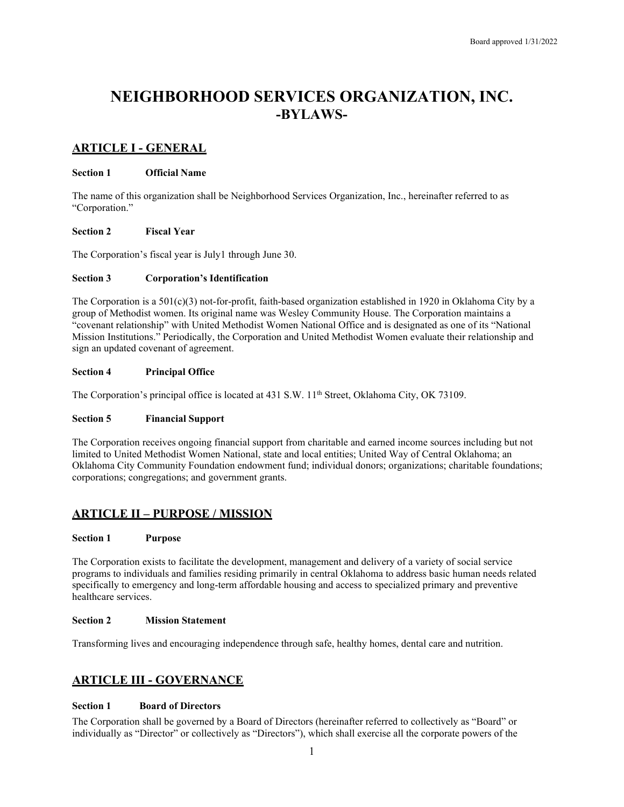# **NEIGHBORHOOD SERVICES ORGANIZATION, INC. -BYLAWS-**

# **ARTICLE I - GENERAL**

# **Section 1 Official Name**

The name of this organization shall be Neighborhood Services Organization, Inc., hereinafter referred to as "Corporation."

# **Section 2 Fiscal Year**

The Corporation's fiscal year is July1 through June 30.

# **Section 3 Corporation's Identification**

The Corporation is a 501(c)(3) not-for-profit, faith-based organization established in 1920 in Oklahoma City by a group of Methodist women. Its original name was Wesley Community House. The Corporation maintains a "covenant relationship" with United Methodist Women National Office and is designated as one of its "National Mission Institutions." Periodically, the Corporation and United Methodist Women evaluate their relationship and sign an updated covenant of agreement.

# **Section 4 Principal Office**

The Corporation's principal office is located at 431 S.W. 11<sup>th</sup> Street, Oklahoma City, OK 73109.

# **Section 5 Financial Support**

The Corporation receives ongoing financial support from charitable and earned income sources including but not limited to United Methodist Women National, state and local entities; United Way of Central Oklahoma; an Oklahoma City Community Foundation endowment fund; individual donors; organizations; charitable foundations; corporations; congregations; and government grants.

# **ARTICLE II – PURPOSE / MISSION**

# **Section 1 Purpose**

The Corporation exists to facilitate the development, management and delivery of a variety of social service programs to individuals and families residing primarily in central Oklahoma to address basic human needs related specifically to emergency and long-term affordable housing and access to specialized primary and preventive healthcare services.

#### **Section 2 Mission Statement**

Transforming lives and encouraging independence through safe, healthy homes, dental care and nutrition.

# **ARTICLE III - GOVERNANCE**

# **Section 1 Board of Directors**

The Corporation shall be governed by a Board of Directors (hereinafter referred to collectively as "Board" or individually as "Director" or collectively as "Directors"), which shall exercise all the corporate powers of the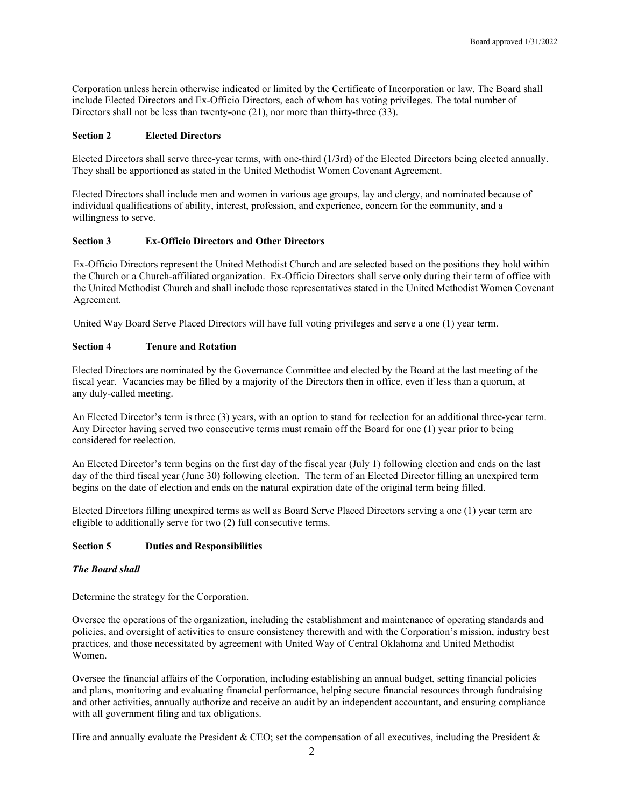Corporation unless herein otherwise indicated or limited by the Certificate of Incorporation or law. The Board shall include Elected Directors and Ex-Officio Directors, each of whom has voting privileges. The total number of Directors shall not be less than twenty-one (21), nor more than thirty-three (33).

#### **Section 2 Elected Directors**

Elected Directors shall serve three-year terms, with one-third (1/3rd) of the Elected Directors being elected annually. They shall be apportioned as stated in the United Methodist Women Covenant Agreement.

Elected Directors shall include men and women in various age groups, lay and clergy, and nominated because of individual qualifications of ability, interest, profession, and experience, concern for the community, and a willingness to serve.

# **Section 3 Ex-Officio Directors and Other Directors**

Ex-Officio Directors represent the United Methodist Church and are selected based on the positions they hold within the Church or a Church-affiliated organization. Ex-Officio Directors shall serve only during their term of office with the United Methodist Church and shall include those representatives stated in the United Methodist Women Covenant Agreement.

United Way Board Serve Placed Directors will have full voting privileges and serve a one (1) year term.

# **Section 4 Tenure and Rotation**

Elected Directors are nominated by the Governance Committee and elected by the Board at the last meeting of the fiscal year. Vacancies may be filled by a majority of the Directors then in office, even if less than a quorum, at any duly-called meeting.

An Elected Director's term is three (3) years, with an option to stand for reelection for an additional three-year term. Any Director having served two consecutive terms must remain off the Board for one (1) year prior to being considered for reelection.

An Elected Director's term begins on the first day of the fiscal year (July 1) following election and ends on the last day of the third fiscal year (June 30) following election. The term of an Elected Director filling an unexpired term begins on the date of election and ends on the natural expiration date of the original term being filled.

Elected Directors filling unexpired terms as well as Board Serve Placed Directors serving a one (1) year term are eligible to additionally serve for two (2) full consecutive terms.

# **Section 5 Duties and Responsibilities**

#### *The Board shall*

Determine the strategy for the Corporation.

Oversee the operations of the organization, including the establishment and maintenance of operating standards and policies, and oversight of activities to ensure consistency therewith and with the Corporation's mission, industry best practices, and those necessitated by agreement with United Way of Central Oklahoma and United Methodist Women.

Oversee the financial affairs of the Corporation, including establishing an annual budget, setting financial policies and plans, monitoring and evaluating financial performance, helping secure financial resources through fundraising and other activities, annually authorize and receive an audit by an independent accountant, and ensuring compliance with all government filing and tax obligations.

Hire and annually evaluate the President  $&$  CEO; set the compensation of all executives, including the President  $&$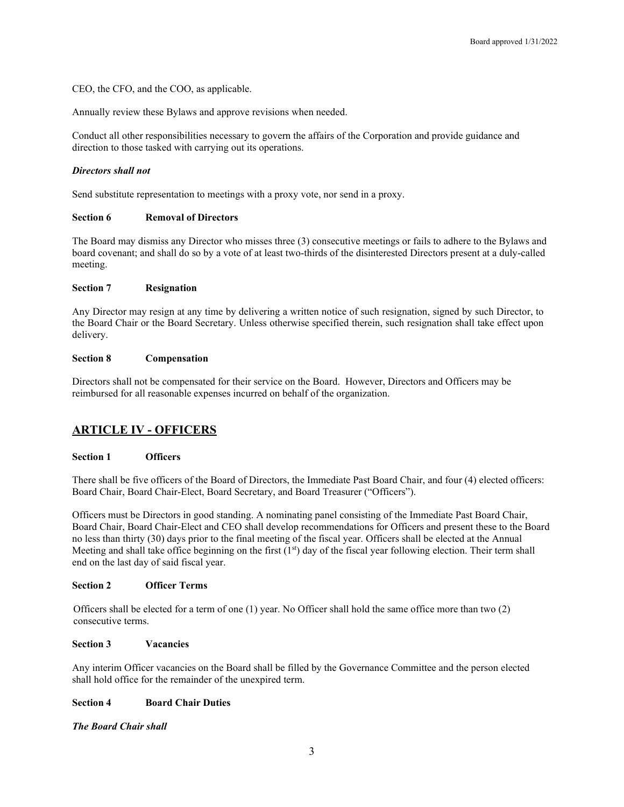CEO, the CFO, and the COO, as applicable.

Annually review these Bylaws and approve revisions when needed.

Conduct all other responsibilities necessary to govern the affairs of the Corporation and provide guidance and direction to those tasked with carrying out its operations.

#### *Directors shall not*

Send substitute representation to meetings with a proxy vote, nor send in a proxy.

#### **Section 6 Removal of Directors**

The Board may dismiss any Director who misses three (3) consecutive meetings or fails to adhere to the Bylaws and board covenant; and shall do so by a vote of at least two-thirds of the disinterested Directors present at a duly-called meeting.

#### **Section 7 Resignation**

Any Director may resign at any time by delivering a written notice of such resignation, signed by such Director, to the Board Chair or the Board Secretary. Unless otherwise specified therein, such resignation shall take effect upon delivery.

#### **Section 8 Compensation**

Directors shall not be compensated for their service on the Board. However, Directors and Officers may be reimbursed for all reasonable expenses incurred on behalf of the organization.

# **ARTICLE IV - OFFICERS**

#### **Section 1 Officers**

There shall be five officers of the Board of Directors, the Immediate Past Board Chair, and four (4) elected officers: Board Chair, Board Chair-Elect, Board Secretary, and Board Treasurer ("Officers").

Officers must be Directors in good standing. A nominating panel consisting of the Immediate Past Board Chair, Board Chair, Board Chair-Elect and CEO shall develop recommendations for Officers and present these to the Board no less than thirty (30) days prior to the final meeting of the fiscal year. Officers shall be elected at the Annual Meeting and shall take office beginning on the first  $(1<sup>st</sup>)$  day of the fiscal year following election. Their term shall end on the last day of said fiscal year.

#### **Section 2 Officer Terms**

Officers shall be elected for a term of one (1) year. No Officer shall hold the same office more than two (2) consecutive terms.

# **Section 3 Vacancies**

Any interim Officer vacancies on the Board shall be filled by the Governance Committee and the person elected shall hold office for the remainder of the unexpired term.

# **Section 4 Board Chair Duties**

*The Board Chair shall*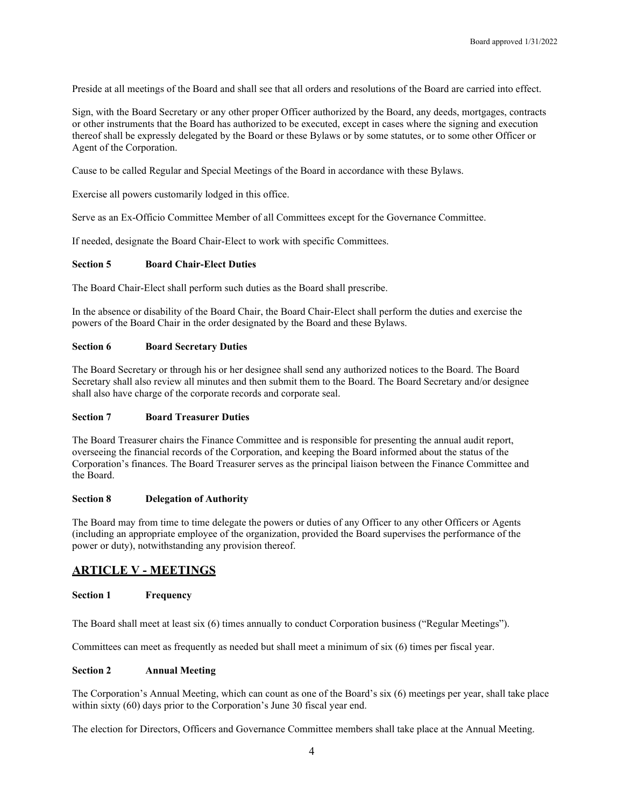Preside at all meetings of the Board and shall see that all orders and resolutions of the Board are carried into effect.

Sign, with the Board Secretary or any other proper Officer authorized by the Board, any deeds, mortgages, contracts or other instruments that the Board has authorized to be executed, except in cases where the signing and execution thereof shall be expressly delegated by the Board or these Bylaws or by some statutes, or to some other Officer or Agent of the Corporation.

Cause to be called Regular and Special Meetings of the Board in accordance with these Bylaws.

Exercise all powers customarily lodged in this office.

Serve as an Ex-Officio Committee Member of all Committees except for the Governance Committee.

If needed, designate the Board Chair-Elect to work with specific Committees.

#### **Section 5 Board Chair-Elect Duties**

The Board Chair-Elect shall perform such duties as the Board shall prescribe.

In the absence or disability of the Board Chair, the Board Chair-Elect shall perform the duties and exercise the powers of the Board Chair in the order designated by the Board and these Bylaws.

#### **Section 6 Board Secretary Duties**

The Board Secretary or through his or her designee shall send any authorized notices to the Board. The Board Secretary shall also review all minutes and then submit them to the Board. The Board Secretary and/or designee shall also have charge of the corporate records and corporate seal.

#### **Section 7 Board Treasurer Duties**

The Board Treasurer chairs the Finance Committee and is responsible for presenting the annual audit report, overseeing the financial records of the Corporation, and keeping the Board informed about the status of the Corporation's finances. The Board Treasurer serves as the principal liaison between the Finance Committee and the Board.

# **Section 8 Delegation of Authority**

The Board may from time to time delegate the powers or duties of any Officer to any other Officers or Agents (including an appropriate employee of the organization, provided the Board supervises the performance of the power or duty), notwithstanding any provision thereof.

# **ARTICLE V - MEETINGS**

# **Section 1 Frequency**

The Board shall meet at least six (6) times annually to conduct Corporation business ("Regular Meetings").

Committees can meet as frequently as needed but shall meet a minimum of six (6) times per fiscal year.

#### **Section 2 Annual Meeting**

The Corporation's Annual Meeting, which can count as one of the Board's six (6) meetings per year, shall take place within sixty (60) days prior to the Corporation's June 30 fiscal year end.

The election for Directors, Officers and Governance Committee members shall take place at the Annual Meeting.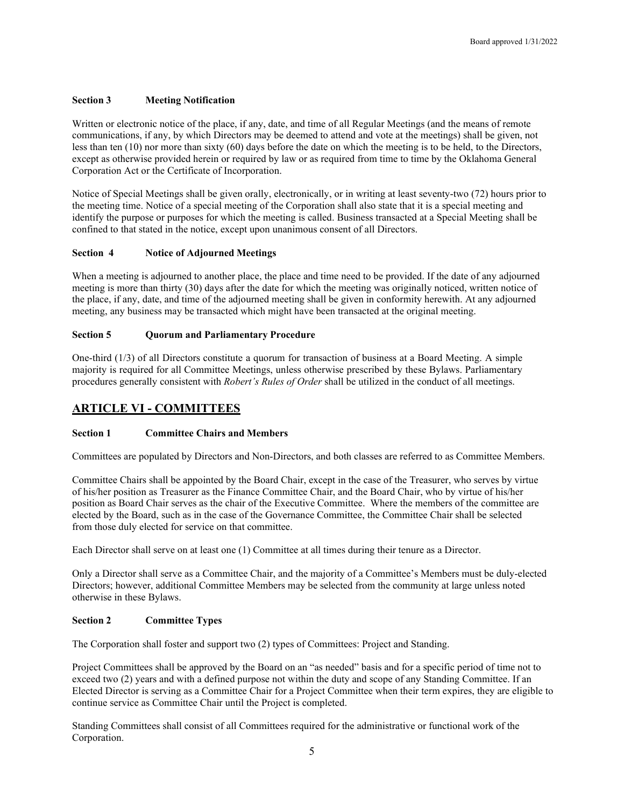# **Section 3 Meeting Notification**

Written or electronic notice of the place, if any, date, and time of all Regular Meetings (and the means of remote communications, if any, by which Directors may be deemed to attend and vote at the meetings) shall be given, not less than ten (10) nor more than sixty (60) days before the date on which the meeting is to be held, to the Directors, except as otherwise provided herein or required by law or as required from time to time by the Oklahoma General Corporation Act or the Certificate of Incorporation.

Notice of Special Meetings shall be given orally, electronically, or in writing at least seventy-two (72) hours prior to the meeting time. Notice of a special meeting of the Corporation shall also state that it is a special meeting and identify the purpose or purposes for which the meeting is called. Business transacted at a Special Meeting shall be confined to that stated in the notice, except upon unanimous consent of all Directors.

# **Section 4 Notice of Adjourned Meetings**

When a meeting is adjourned to another place, the place and time need to be provided. If the date of any adjourned meeting is more than thirty (30) days after the date for which the meeting was originally noticed, written notice of the place, if any, date, and time of the adjourned meeting shall be given in conformity herewith. At any adjourned meeting, any business may be transacted which might have been transacted at the original meeting.

# **Section 5 Quorum and Parliamentary Procedure**

One-third (1/3) of all Directors constitute a quorum for transaction of business at a Board Meeting. A simple majority is required for all Committee Meetings, unless otherwise prescribed by these Bylaws. Parliamentary procedures generally consistent with *Robert's Rules of Order* shall be utilized in the conduct of all meetings.

# **ARTICLE VI - COMMITTEES**

# **Section 1 Committee Chairs and Members**

Committees are populated by Directors and Non-Directors, and both classes are referred to as Committee Members.

Committee Chairs shall be appointed by the Board Chair, except in the case of the Treasurer, who serves by virtue of his/her position as Treasurer as the Finance Committee Chair, and the Board Chair, who by virtue of his/her position as Board Chair serves as the chair of the Executive Committee. Where the members of the committee are elected by the Board, such as in the case of the Governance Committee, the Committee Chair shall be selected from those duly elected for service on that committee.

Each Director shall serve on at least one (1) Committee at all times during their tenure as a Director.

Only a Director shall serve as a Committee Chair, and the majority of a Committee's Members must be duly-elected Directors; however, additional Committee Members may be selected from the community at large unless noted otherwise in these Bylaws.

# **Section 2 Committee Types**

The Corporation shall foster and support two (2) types of Committees: Project and Standing.

Project Committees shall be approved by the Board on an "as needed" basis and for a specific period of time not to exceed two (2) years and with a defined purpose not within the duty and scope of any Standing Committee. If an Elected Director is serving as a Committee Chair for a Project Committee when their term expires, they are eligible to continue service as Committee Chair until the Project is completed.

Standing Committees shall consist of all Committees required for the administrative or functional work of the Corporation.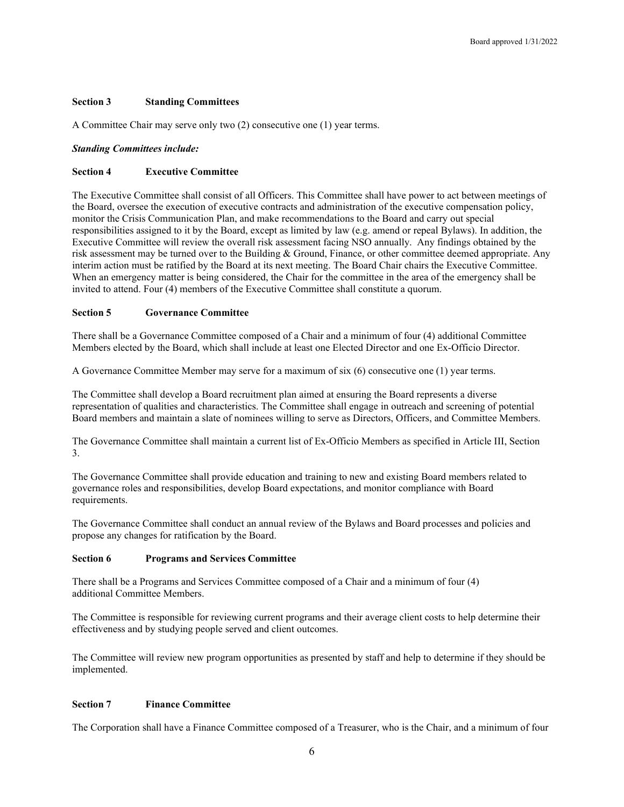# **Section 3 Standing Committees**

A Committee Chair may serve only two (2) consecutive one (1) year terms.

#### *Standing Committees include:*

# **Section 4 Executive Committee**

The Executive Committee shall consist of all Officers. This Committee shall have power to act between meetings of the Board, oversee the execution of executive contracts and administration of the executive compensation policy, monitor the Crisis Communication Plan, and make recommendations to the Board and carry out special responsibilities assigned to it by the Board, except as limited by law (e.g. amend or repeal Bylaws). In addition, the Executive Committee will review the overall risk assessment facing NSO annually. Any findings obtained by the risk assessment may be turned over to the Building & Ground, Finance, or other committee deemed appropriate. Any interim action must be ratified by the Board at its next meeting. The Board Chair chairs the Executive Committee. When an emergency matter is being considered, the Chair for the committee in the area of the emergency shall be invited to attend. Four (4) members of the Executive Committee shall constitute a quorum.

# **Section 5 Governance Committee**

There shall be a Governance Committee composed of a Chair and a minimum of four (4) additional Committee Members elected by the Board, which shall include at least one Elected Director and one Ex-Officio Director.

A Governance Committee Member may serve for a maximum of six (6) consecutive one (1) year terms.

The Committee shall develop a Board recruitment plan aimed at ensuring the Board represents a diverse representation of qualities and characteristics. The Committee shall engage in outreach and screening of potential Board members and maintain a slate of nominees willing to serve as Directors, Officers, and Committee Members.

The Governance Committee shall maintain a current list of Ex-Officio Members as specified in Article III, Section 3.

The Governance Committee shall provide education and training to new and existing Board members related to governance roles and responsibilities, develop Board expectations, and monitor compliance with Board requirements.

The Governance Committee shall conduct an annual review of the Bylaws and Board processes and policies and propose any changes for ratification by the Board.

#### **Section 6 Programs and Services Committee**

There shall be a Programs and Services Committee composed of a Chair and a minimum of four (4) additional Committee Members.

The Committee is responsible for reviewing current programs and their average client costs to help determine their effectiveness and by studying people served and client outcomes.

The Committee will review new program opportunities as presented by staff and help to determine if they should be implemented.

#### **Section 7 Finance Committee**

The Corporation shall have a Finance Committee composed of a Treasurer, who is the Chair, and a minimum of four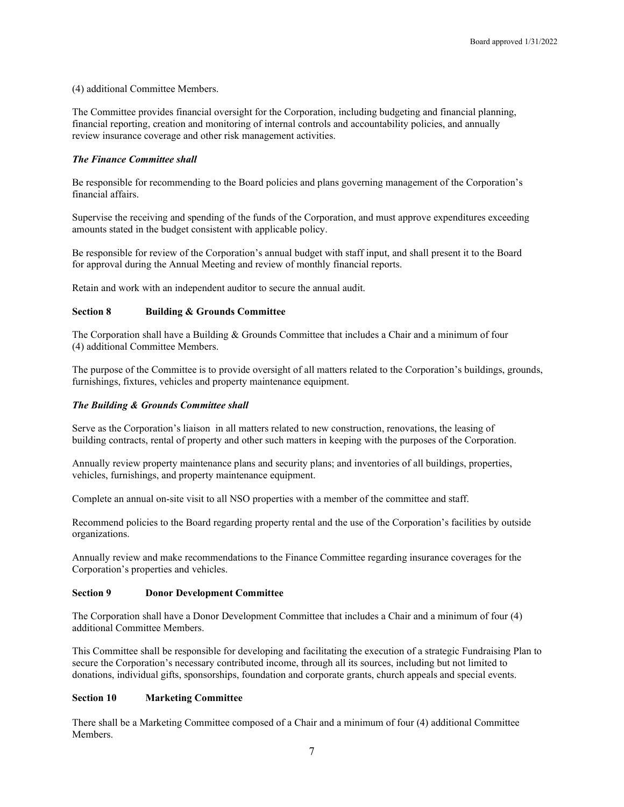(4) additional Committee Members.

The Committee provides financial oversight for the Corporation, including budgeting and financial planning, financial reporting, creation and monitoring of internal controls and accountability policies, and annually review insurance coverage and other risk management activities.

# *The Finance Committee shall*

Be responsible for recommending to the Board policies and plans governing management of the Corporation's financial affairs.

Supervise the receiving and spending of the funds of the Corporation, and must approve expenditures exceeding amounts stated in the budget consistent with applicable policy.

Be responsible for review of the Corporation's annual budget with staff input, and shall present it to the Board for approval during the Annual Meeting and review of monthly financial reports.

Retain and work with an independent auditor to secure the annual audit.

# **Section 8 Building & Grounds Committee**

The Corporation shall have a Building & Grounds Committee that includes a Chair and a minimum of four (4) additional Committee Members.

The purpose of the Committee is to provide oversight of all matters related to the Corporation's buildings, grounds, furnishings, fixtures, vehicles and property maintenance equipment.

#### *The Building & Grounds Committee shall*

Serve as the Corporation's liaison in all matters related to new construction, renovations, the leasing of building contracts, rental of property and other such matters in keeping with the purposes of the Corporation.

Annually review property maintenance plans and security plans; and inventories of all buildings, properties, vehicles, furnishings, and property maintenance equipment.

Complete an annual on-site visit to all NSO properties with a member of the committee and staff.

Recommend policies to the Board regarding property rental and the use of the Corporation's facilities by outside organizations.

Annually review and make recommendations to the Finance Committee regarding insurance coverages for the Corporation's properties and vehicles.

#### **Section 9 Donor Development Committee**

The Corporation shall have a Donor Development Committee that includes a Chair and a minimum of four (4) additional Committee Members.

This Committee shall be responsible for developing and facilitating the execution of a strategic Fundraising Plan to secure the Corporation's necessary contributed income, through all its sources, including but not limited to donations, individual gifts, sponsorships, foundation and corporate grants, church appeals and special events.

# **Section 10 Marketing Committee**

There shall be a Marketing Committee composed of a Chair and a minimum of four (4) additional Committee Members.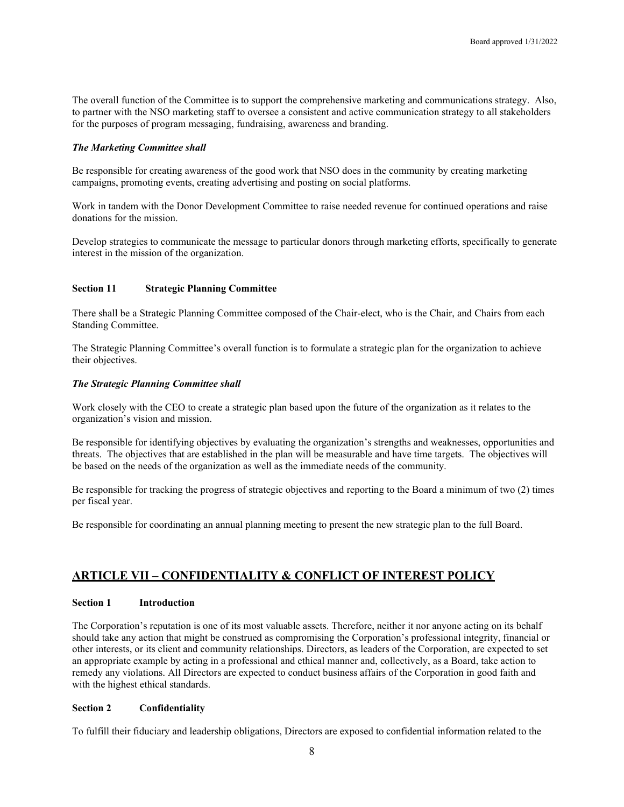The overall function of the Committee is to support the comprehensive marketing and communications strategy. Also, to partner with the NSO marketing staff to oversee a consistent and active communication strategy to all stakeholders for the purposes of program messaging, fundraising, awareness and branding.

#### *The Marketing Committee shall*

Be responsible for creating awareness of the good work that NSO does in the community by creating marketing campaigns, promoting events, creating advertising and posting on social platforms.

Work in tandem with the Donor Development Committee to raise needed revenue for continued operations and raise donations for the mission.

Develop strategies to communicate the message to particular donors through marketing efforts, specifically to generate interest in the mission of the organization.

# **Section 11 Strategic Planning Committee**

There shall be a Strategic Planning Committee composed of the Chair-elect, who is the Chair, and Chairs from each Standing Committee.

The Strategic Planning Committee's overall function is to formulate a strategic plan for the organization to achieve their objectives.

# *The Strategic Planning Committee shall*

Work closely with the CEO to create a strategic plan based upon the future of the organization as it relates to the organization's vision and mission.

Be responsible for identifying objectives by evaluating the organization's strengths and weaknesses, opportunities and threats. The objectives that are established in the plan will be measurable and have time targets. The objectives will be based on the needs of the organization as well as the immediate needs of the community.

Be responsible for tracking the progress of strategic objectives and reporting to the Board a minimum of two (2) times per fiscal year.

Be responsible for coordinating an annual planning meeting to present the new strategic plan to the full Board.

# **ARTICLE VII – CONFIDENTIALITY & CONFLICT OF INTEREST POLICY**

#### **Section 1 Introduction**

The Corporation's reputation is one of its most valuable assets. Therefore, neither it nor anyone acting on its behalf should take any action that might be construed as compromising the Corporation's professional integrity, financial or other interests, or its client and community relationships. Directors, as leaders of the Corporation, are expected to set an appropriate example by acting in a professional and ethical manner and, collectively, as a Board, take action to remedy any violations. All Directors are expected to conduct business affairs of the Corporation in good faith and with the highest ethical standards.

#### **Section 2 Confidentiality**

To fulfill their fiduciary and leadership obligations, Directors are exposed to confidential information related to the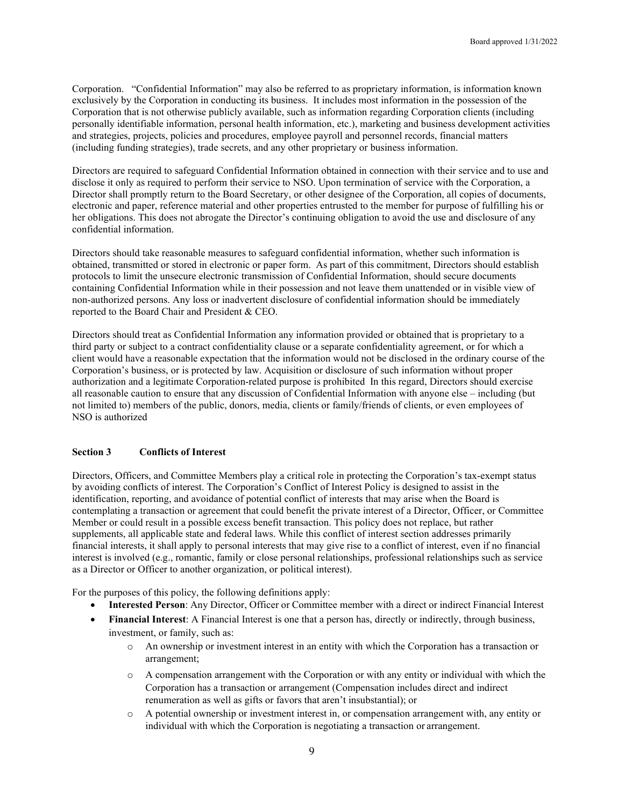Corporation. "Confidential Information" may also be referred to as proprietary information, is information known exclusively by the Corporation in conducting its business. It includes most information in the possession of the Corporation that is not otherwise publicly available, such as information regarding Corporation clients (including personally identifiable information, personal health information, etc.), marketing and business development activities and strategies, projects, policies and procedures, employee payroll and personnel records, financial matters (including funding strategies), trade secrets, and any other proprietary or business information.

Directors are required to safeguard Confidential Information obtained in connection with their service and to use and disclose it only as required to perform their service to NSO. Upon termination of service with the Corporation, a Director shall promptly return to the Board Secretary, or other designee of the Corporation, all copies of documents, electronic and paper, reference material and other properties entrusted to the member for purpose of fulfilling his or her obligations. This does not abrogate the Director's continuing obligation to avoid the use and disclosure of any confidential information.

Directors should take reasonable measures to safeguard confidential information, whether such information is obtained, transmitted or stored in electronic or paper form. As part of this commitment, Directors should establish protocols to limit the unsecure electronic transmission of Confidential Information, should secure documents containing Confidential Information while in their possession and not leave them unattended or in visible view of non-authorized persons. Any loss or inadvertent disclosure of confidential information should be immediately reported to the Board Chair and President & CEO.

Directors should treat as Confidential Information any information provided or obtained that is proprietary to a third party or subject to a contract confidentiality clause or a separate confidentiality agreement, or for which a client would have a reasonable expectation that the information would not be disclosed in the ordinary course of the Corporation's business, or is protected by law. Acquisition or disclosure of such information without proper authorization and a legitimate Corporation-related purpose is prohibited In this regard, Directors should exercise all reasonable caution to ensure that any discussion of Confidential Information with anyone else – including (but not limited to) members of the public, donors, media, clients or family/friends of clients, or even employees of NSO is authorized

#### **Section 3 Conflicts of Interest**

Directors, Officers, and Committee Members play a critical role in protecting the Corporation's tax-exempt status by avoiding conflicts of interest. The Corporation's Conflict of Interest Policy is designed to assist in the identification, reporting, and avoidance of potential conflict of interests that may arise when the Board is contemplating a transaction or agreement that could benefit the private interest of a Director, Officer, or Committee Member or could result in a possible excess benefit transaction. This policy does not replace, but rather supplements, all applicable state and federal laws. While this conflict of interest section addresses primarily financial interests, it shall apply to personal interests that may give rise to a conflict of interest, even if no financial interest is involved (e.g., romantic, family or close personal relationships, professional relationships such as service as a Director or Officer to another organization, or political interest).

For the purposes of this policy, the following definitions apply:

- **Interested Person**: Any Director, Officer or Committee member with a direct or indirect Financial Interest
- **Financial Interest**: A Financial Interest is one that a person has, directly or indirectly, through business, investment, or family, such as:
	- o An ownership or investment interest in an entity with which the Corporation has a transaction or arrangement;
	- o A compensation arrangement with the Corporation or with any entity or individual with which the Corporation has a transaction or arrangement (Compensation includes direct and indirect renumeration as well as gifts or favors that aren't insubstantial); or
	- o A potential ownership or investment interest in, or compensation arrangement with, any entity or individual with which the Corporation is negotiating a transaction or arrangement.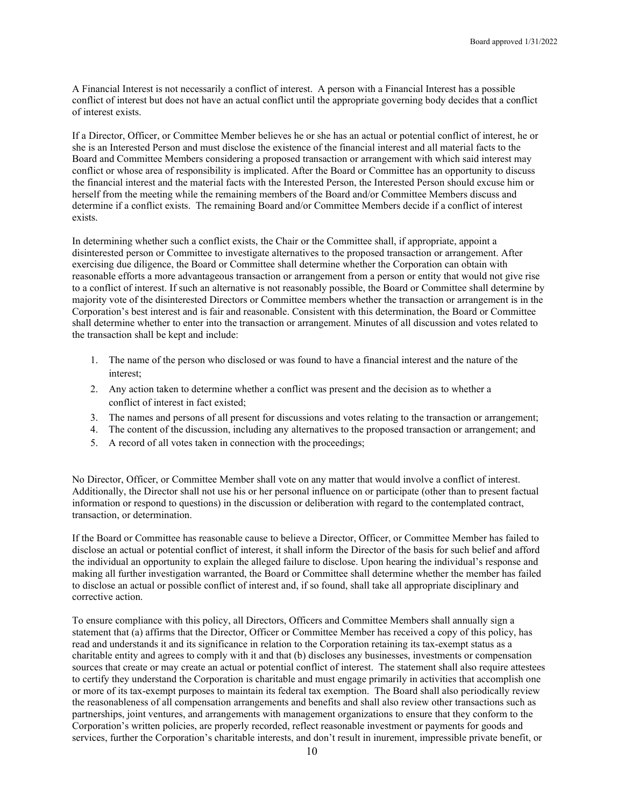A Financial Interest is not necessarily a conflict of interest. A person with a Financial Interest has a possible conflict of interest but does not have an actual conflict until the appropriate governing body decides that a conflict of interest exists.

If a Director, Officer, or Committee Member believes he or she has an actual or potential conflict of interest, he or she is an Interested Person and must disclose the existence of the financial interest and all material facts to the Board and Committee Members considering a proposed transaction or arrangement with which said interest may conflict or whose area of responsibility is implicated. After the Board or Committee has an opportunity to discuss the financial interest and the material facts with the Interested Person, the Interested Person should excuse him or herself from the meeting while the remaining members of the Board and/or Committee Members discuss and determine if a conflict exists. The remaining Board and/or Committee Members decide if a conflict of interest exists.

In determining whether such a conflict exists, the Chair or the Committee shall, if appropriate, appoint a disinterested person or Committee to investigate alternatives to the proposed transaction or arrangement. After exercising due diligence, the Board or Committee shall determine whether the Corporation can obtain with reasonable efforts a more advantageous transaction or arrangement from a person or entity that would not give rise to a conflict of interest. If such an alternative is not reasonably possible, the Board or Committee shall determine by majority vote of the disinterested Directors or Committee members whether the transaction or arrangement is in the Corporation's best interest and is fair and reasonable. Consistent with this determination, the Board or Committee shall determine whether to enter into the transaction or arrangement. Minutes of all discussion and votes related to the transaction shall be kept and include:

- 1. The name of the person who disclosed or was found to have a financial interest and the nature of the interest;
- 2. Any action taken to determine whether a conflict was present and the decision as to whether a conflict of interest in fact existed;
- 3. The names and persons of all present for discussions and votes relating to the transaction or arrangement;
- 4. The content of the discussion, including any alternatives to the proposed transaction or arrangement; and
- 5. A record of all votes taken in connection with the proceedings;

No Director, Officer, or Committee Member shall vote on any matter that would involve a conflict of interest. Additionally, the Director shall not use his or her personal influence on or participate (other than to present factual information or respond to questions) in the discussion or deliberation with regard to the contemplated contract, transaction, or determination.

If the Board or Committee has reasonable cause to believe a Director, Officer, or Committee Member has failed to disclose an actual or potential conflict of interest, it shall inform the Director of the basis for such belief and afford the individual an opportunity to explain the alleged failure to disclose. Upon hearing the individual's response and making all further investigation warranted, the Board or Committee shall determine whether the member has failed to disclose an actual or possible conflict of interest and, if so found, shall take all appropriate disciplinary and corrective action.

To ensure compliance with this policy, all Directors, Officers and Committee Members shall annually sign a statement that (a) affirms that the Director, Officer or Committee Member has received a copy of this policy, has read and understands it and its significance in relation to the Corporation retaining its tax-exempt status as a charitable entity and agrees to comply with it and that (b) discloses any businesses, investments or compensation sources that create or may create an actual or potential conflict of interest. The statement shall also require attestees to certify they understand the Corporation is charitable and must engage primarily in activities that accomplish one or more of its tax-exempt purposes to maintain its federal tax exemption. The Board shall also periodically review the reasonableness of all compensation arrangements and benefits and shall also review other transactions such as partnerships, joint ventures, and arrangements with management organizations to ensure that they conform to the Corporation's written policies, are properly recorded, reflect reasonable investment or payments for goods and services, further the Corporation's charitable interests, and don't result in inurement, impressible private benefit, or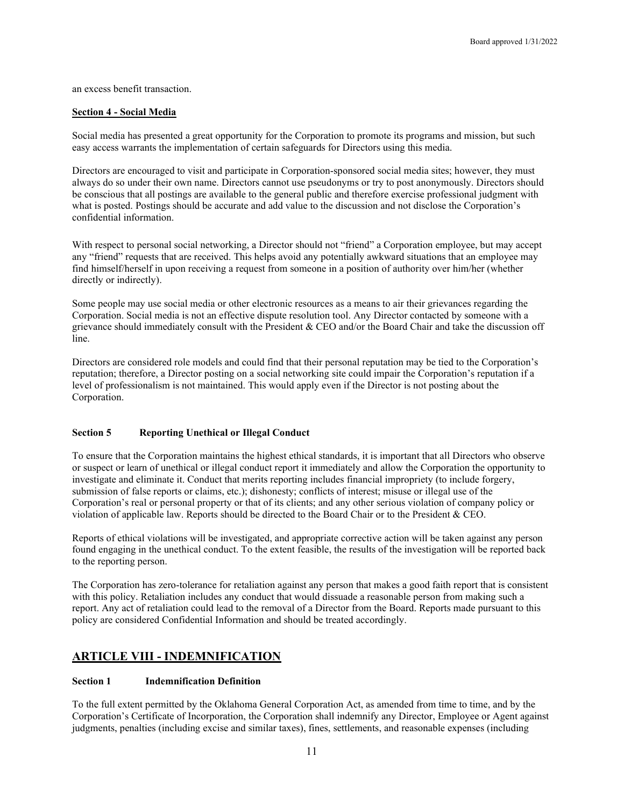an excess benefit transaction.

#### **Section 4 - Social Media**

Social media has presented a great opportunity for the Corporation to promote its programs and mission, but such easy access warrants the implementation of certain safeguards for Directors using this media.

Directors are encouraged to visit and participate in Corporation-sponsored social media sites; however, they must always do so under their own name. Directors cannot use pseudonyms or try to post anonymously. Directors should be conscious that all postings are available to the general public and therefore exercise professional judgment with what is posted. Postings should be accurate and add value to the discussion and not disclose the Corporation's confidential information.

With respect to personal social networking, a Director should not "friend" a Corporation employee, but may accept any "friend" requests that are received. This helps avoid any potentially awkward situations that an employee may find himself/herself in upon receiving a request from someone in a position of authority over him/her (whether directly or indirectly).

Some people may use social media or other electronic resources as a means to air their grievances regarding the Corporation. Social media is not an effective dispute resolution tool. Any Director contacted by someone with a grievance should immediately consult with the President & CEO and/or the Board Chair and take the discussion off line.

Directors are considered role models and could find that their personal reputation may be tied to the Corporation's reputation; therefore, a Director posting on a social networking site could impair the Corporation's reputation if a level of professionalism is not maintained. This would apply even if the Director is not posting about the Corporation.

# **Section 5 Reporting Unethical or Illegal Conduct**

To ensure that the Corporation maintains the highest ethical standards, it is important that all Directors who observe or suspect or learn of unethical or illegal conduct report it immediately and allow the Corporation the opportunity to investigate and eliminate it. Conduct that merits reporting includes financial impropriety (to include forgery, submission of false reports or claims, etc.); dishonesty; conflicts of interest; misuse or illegal use of the Corporation's real or personal property or that of its clients; and any other serious violation of company policy or violation of applicable law. Reports should be directed to the Board Chair or to the President & CEO.

Reports of ethical violations will be investigated, and appropriate corrective action will be taken against any person found engaging in the unethical conduct. To the extent feasible, the results of the investigation will be reported back to the reporting person.

The Corporation has zero-tolerance for retaliation against any person that makes a good faith report that is consistent with this policy. Retaliation includes any conduct that would dissuade a reasonable person from making such a report. Any act of retaliation could lead to the removal of a Director from the Board. Reports made pursuant to this policy are considered Confidential Information and should be treated accordingly.

# **ARTICLE VIII - INDEMNIFICATION**

# **Section 1 Indemnification Definition**

To the full extent permitted by the Oklahoma General Corporation Act, as amended from time to time, and by the Corporation's Certificate of Incorporation, the Corporation shall indemnify any Director, Employee or Agent against judgments, penalties (including excise and similar taxes), fines, settlements, and reasonable expenses (including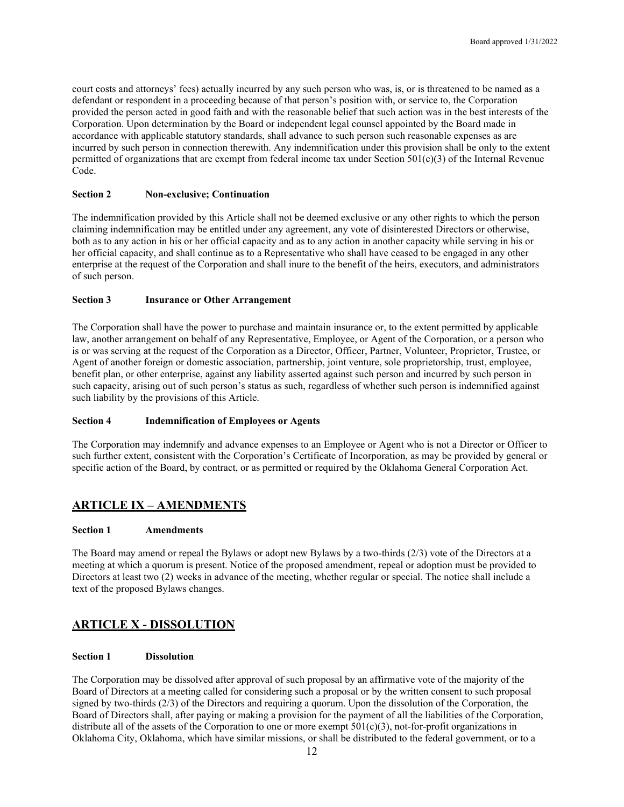court costs and attorneys' fees) actually incurred by any such person who was, is, or is threatened to be named as a defendant or respondent in a proceeding because of that person's position with, or service to, the Corporation provided the person acted in good faith and with the reasonable belief that such action was in the best interests of the Corporation. Upon determination by the Board or independent legal counsel appointed by the Board made in accordance with applicable statutory standards, shall advance to such person such reasonable expenses as are incurred by such person in connection therewith. Any indemnification under this provision shall be only to the extent permitted of organizations that are exempt from federal income tax under Section  $501(c)(3)$  of the Internal Revenue Code.

#### **Section 2 Non-exclusive; Continuation**

The indemnification provided by this Article shall not be deemed exclusive or any other rights to which the person claiming indemnification may be entitled under any agreement, any vote of disinterested Directors or otherwise, both as to any action in his or her official capacity and as to any action in another capacity while serving in his or her official capacity, and shall continue as to a Representative who shall have ceased to be engaged in any other enterprise at the request of the Corporation and shall inure to the benefit of the heirs, executors, and administrators of such person.

# **Section 3 Insurance or Other Arrangement**

The Corporation shall have the power to purchase and maintain insurance or, to the extent permitted by applicable law, another arrangement on behalf of any Representative, Employee, or Agent of the Corporation, or a person who is or was serving at the request of the Corporation as a Director, Officer, Partner, Volunteer, Proprietor, Trustee, or Agent of another foreign or domestic association, partnership, joint venture, sole proprietorship, trust, employee, benefit plan, or other enterprise, against any liability asserted against such person and incurred by such person in such capacity, arising out of such person's status as such, regardless of whether such person is indemnified against such liability by the provisions of this Article.

# **Section 4 Indemnification of Employees or Agents**

The Corporation may indemnify and advance expenses to an Employee or Agent who is not a Director or Officer to such further extent, consistent with the Corporation's Certificate of Incorporation, as may be provided by general or specific action of the Board, by contract, or as permitted or required by the Oklahoma General Corporation Act.

# **ARTICLE IX – AMENDMENTS**

#### **Section 1 Amendments**

The Board may amend or repeal the Bylaws or adopt new Bylaws by a two-thirds (2/3) vote of the Directors at a meeting at which a quorum is present. Notice of the proposed amendment, repeal or adoption must be provided to Directors at least two (2) weeks in advance of the meeting, whether regular or special. The notice shall include a text of the proposed Bylaws changes.

# **ARTICLE X - DISSOLUTION**

#### **Section 1 Dissolution**

The Corporation may be dissolved after approval of such proposal by an affirmative vote of the majority of the Board of Directors at a meeting called for considering such a proposal or by the written consent to such proposal signed by two-thirds (2/3) of the Directors and requiring a quorum. Upon the dissolution of the Corporation, the Board of Directors shall, after paying or making a provision for the payment of all the liabilities of the Corporation, distribute all of the assets of the Corporation to one or more exempt  $501(c)(3)$ , not-for-profit organizations in Oklahoma City, Oklahoma, which have similar missions, or shall be distributed to the federal government, or to a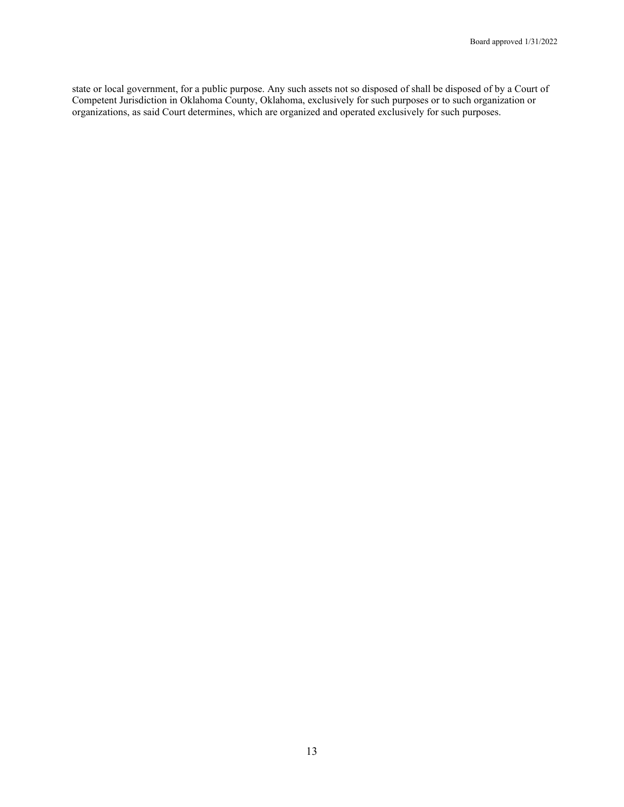state or local government, for a public purpose. Any such assets not so disposed of shall be disposed of by a Court of Competent Jurisdiction in Oklahoma County, Oklahoma, exclusively for such purposes or to such organization or organizations, as said Court determines, which are organized and operated exclusively for such purposes.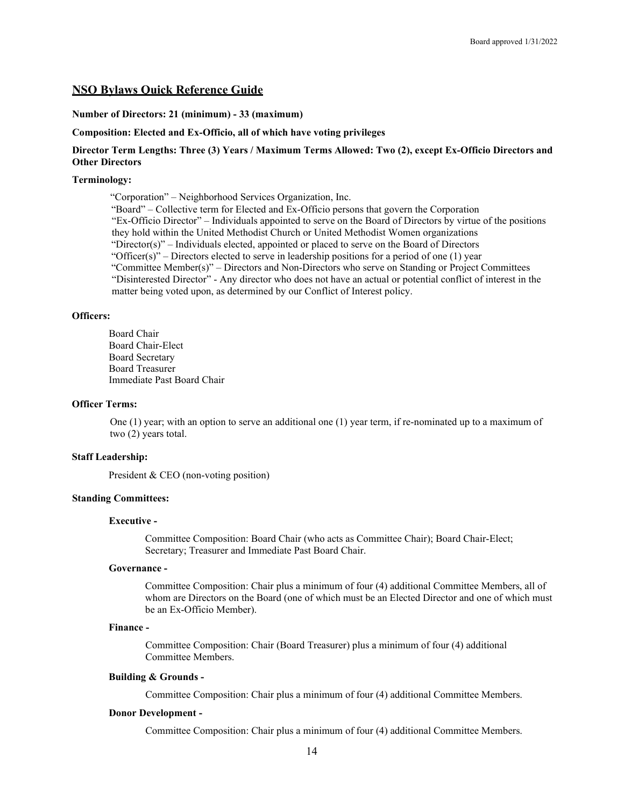# **NSO Bylaws Quick Reference Guide**

#### **Number of Directors: 21 (minimum) - 33 (maximum)**

**Composition: Elected and Ex-Officio, all of which have voting privileges**

# **Director Term Lengths: Three (3) Years / Maximum Terms Allowed: Two (2), except Ex-Officio Directors and Other Directors**

#### **Terminology:**

 "Corporation" – Neighborhood Services Organization, Inc. "Board" – Collective term for Elected and Ex-Officio persons that govern the Corporation "Ex-Officio Director" – Individuals appointed to serve on the Board of Directors by virtue of the positions they hold within the United Methodist Church or United Methodist Women organizations "Director(s)" – Individuals elected, appointed or placed to serve on the Board of Directors "Officer(s)" – Directors elected to serve in leadership positions for a period of one  $(1)$  year "Committee Member(s)" – Directors and Non-Directors who serve on Standing or Project Committees "Disinterested Director" - Any director who does not have an actual or potential conflict of interest in the matter being voted upon, as determined by our Conflict of Interest policy.

#### **Officers:**

Board Chair Board Chair-Elect Board Secretary Board Treasurer Immediate Past Board Chair

#### **Officer Terms:**

One (1) year; with an option to serve an additional one (1) year term, if re-nominated up to a maximum of two (2) years total.

#### **Staff Leadership:**

President & CEO (non-voting position)

# **Standing Committees:**

#### **Executive -**

Committee Composition: Board Chair (who acts as Committee Chair); Board Chair-Elect; Secretary; Treasurer and Immediate Past Board Chair.

#### **Governance -**

Committee Composition: Chair plus a minimum of four (4) additional Committee Members, all of whom are Directors on the Board (one of which must be an Elected Director and one of which must be an Ex-Officio Member).

#### **Finance -**

Committee Composition: Chair (Board Treasurer) plus a minimum of four (4) additional Committee Members.

#### **Building & Grounds -**

Committee Composition: Chair plus a minimum of four (4) additional Committee Members.

#### **Donor Development -**

Committee Composition: Chair plus a minimum of four (4) additional Committee Members.